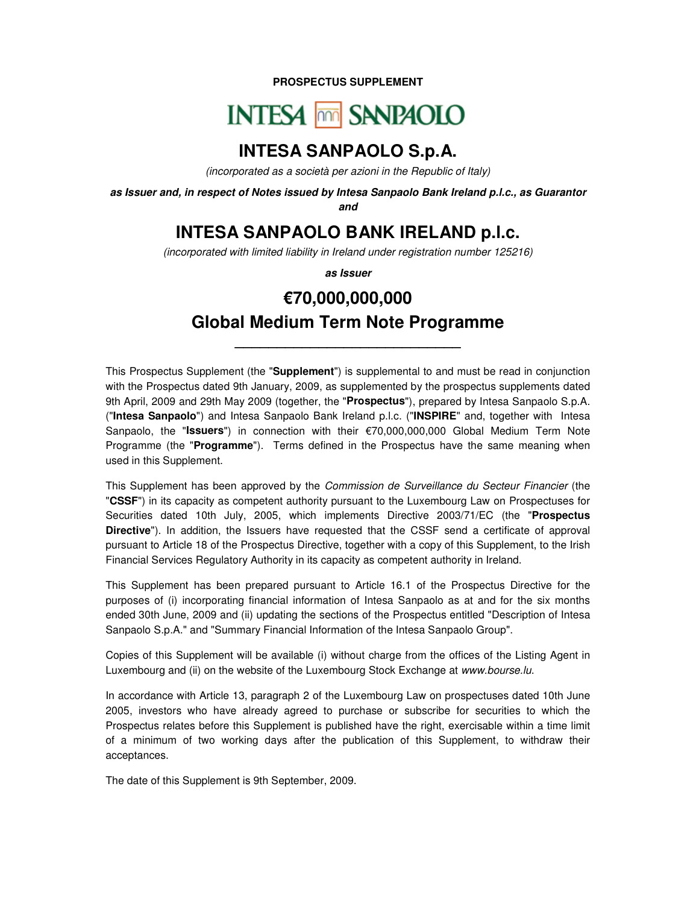**PROSPECTUS SUPPLEMENT**

# **INTESA MM SANPAOLO**

# **INTESA SANPAOLO S.p.A.**

*(incorporated as a società per azioni in the Republic of Italy)*

*as Issuer and, in respect of Notes issued by Intesa Sanpaolo Bank Ireland p.l.c., as Guarantor*

*and*

# **INTESA SANPAOLO BANK IRELAND p.l.c.**

*(incorporated with limited liability in Ireland under registration number 125216)*

*as Issuer*

# **€70,000,000,000 Global Medium Term Note Programme**

**\_\_\_\_\_\_\_\_\_\_\_\_\_\_\_\_\_\_\_\_\_\_\_\_\_\_\_**

This Prospectus Supplement (the "**Supplement**") is supplemental to and must be read in conjunction with the Prospectus dated 9th January, 2009, as supplemented by the prospectus supplements dated 9th April, 2009 and 29th May 2009 (together, the "**Prospectus**"), prepared by Intesa Sanpaolo S.p.A. ("**Intesa Sanpaolo**") and Intesa Sanpaolo Bank Ireland p.l.c. ("**INSPIRE**" and, together with Intesa Sanpaolo, the "**Issuers**") in connection with their €70,000,000,000 Global Medium Term Note Programme (the "**Programme**"). Terms defined in the Prospectus have the same meaning when used in this Supplement.

This Supplement has been approved by the *Commission de Surveillance du Secteur Financier* (the "**CSSF**") in its capacity as competent authority pursuant to the Luxembourg Law on Prospectuses for Securities dated 10th July, 2005, which implements Directive 2003/71/EC (the "**Prospectus Directive**"). In addition, the Issuers have requested that the CSSF send a certificate of approval pursuant to Article 18 of the Prospectus Directive, together with a copy of this Supplement, to the Irish Financial Services Regulatory Authority in its capacity as competent authority in Ireland.

This Supplement has been prepared pursuant to Article 16.1 of the Prospectus Directive for the purposes of (i) incorporating financial information of Intesa Sanpaolo as at and for the six months ended 30th June, 2009 and (ii) updating the sections of the Prospectus entitled "Description of Intesa Sanpaolo S.p.A." and "Summary Financial Information of the Intesa Sanpaolo Group".

Copies of this Supplement will be available (i) without charge from the offices of the Listing Agent in Luxembourg and (ii) on the website of the Luxembourg Stock Exchange at *www.bourse.lu*.

In accordance with Article 13, paragraph 2 of the Luxembourg Law on prospectuses dated 10th June 2005, investors who have already agreed to purchase or subscribe for securities to which the Prospectus relates before this Supplement is published have the right, exercisable within a time limit of a minimum of two working days after the publication of this Supplement, to withdraw their acceptances.

The date of this Supplement is 9th September, 2009.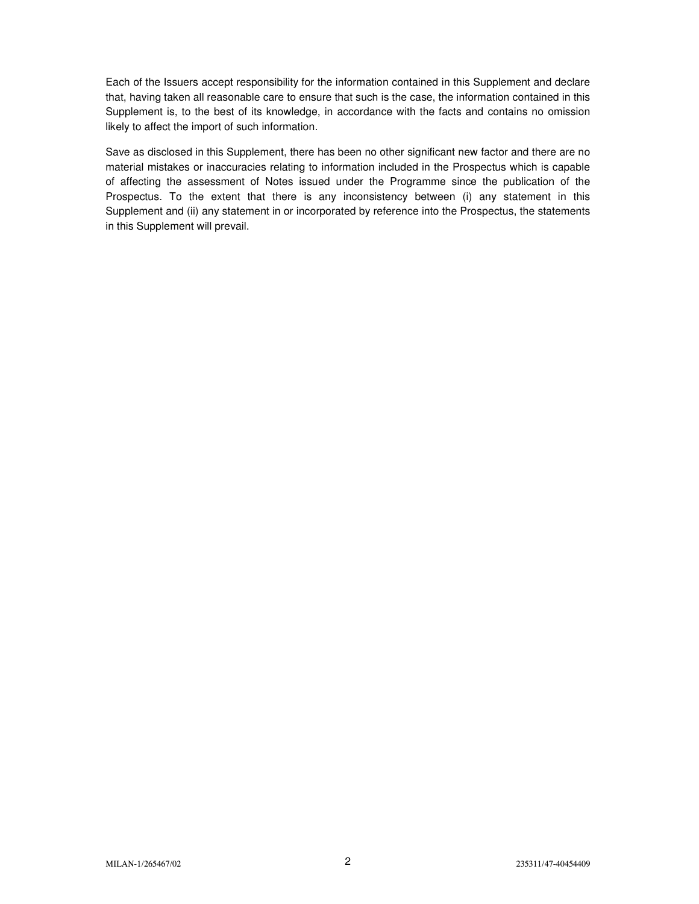Each of the Issuers accept responsibility for the information contained in this Supplement and declare that, having taken all reasonable care to ensure that such is the case, the information contained in this Supplement is, to the best of its knowledge, in accordance with the facts and contains no omission likely to affect the import of such information.

Save as disclosed in this Supplement, there has been no other significant new factor and there are no material mistakes or inaccuracies relating to information included in the Prospectus which is capable of affecting the assessment of Notes issued under the Programme since the publication of the Prospectus. To the extent that there is any inconsistency between (i) any statement in this Supplement and (ii) any statement in or incorporated by reference into the Prospectus, the statements in this Supplement will prevail.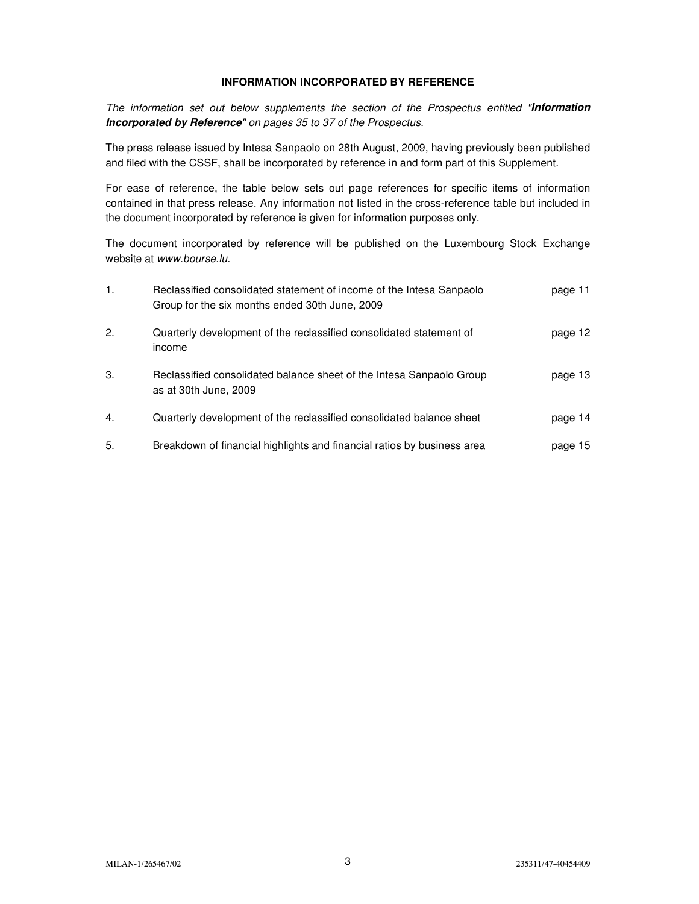## **INFORMATION INCORPORATED BY REFERENCE**

*The information set out below supplements the section of the Prospectus entitled "Information Incorporated by Reference" on pages 35 to 37 of the Prospectus.*

The press release issued by Intesa Sanpaolo on 28th August, 2009, having previously been published and filed with the CSSF, shall be incorporated by reference in and form part of this Supplement.

For ease of reference, the table below sets out page references for specific items of information contained in that press release. Any information not listed in the cross-reference table but included in the document incorporated by reference is given for information purposes only.

The document incorporated by reference will be published on the Luxembourg Stock Exchange website at *www.bourse.lu.*

| 1. | Reclassified consolidated statement of income of the Intesa Sanpaolo<br>Group for the six months ended 30th June, 2009 | page 11 |
|----|------------------------------------------------------------------------------------------------------------------------|---------|
| 2. | Quarterly development of the reclassified consolidated statement of<br>income                                          | page 12 |
| 3. | Reclassified consolidated balance sheet of the Intesa Sanpaolo Group<br>as at 30th June, 2009                          | page 13 |
| 4. | Quarterly development of the reclassified consolidated balance sheet                                                   | page 14 |
| 5. | Breakdown of financial highlights and financial ratios by business area                                                | page 15 |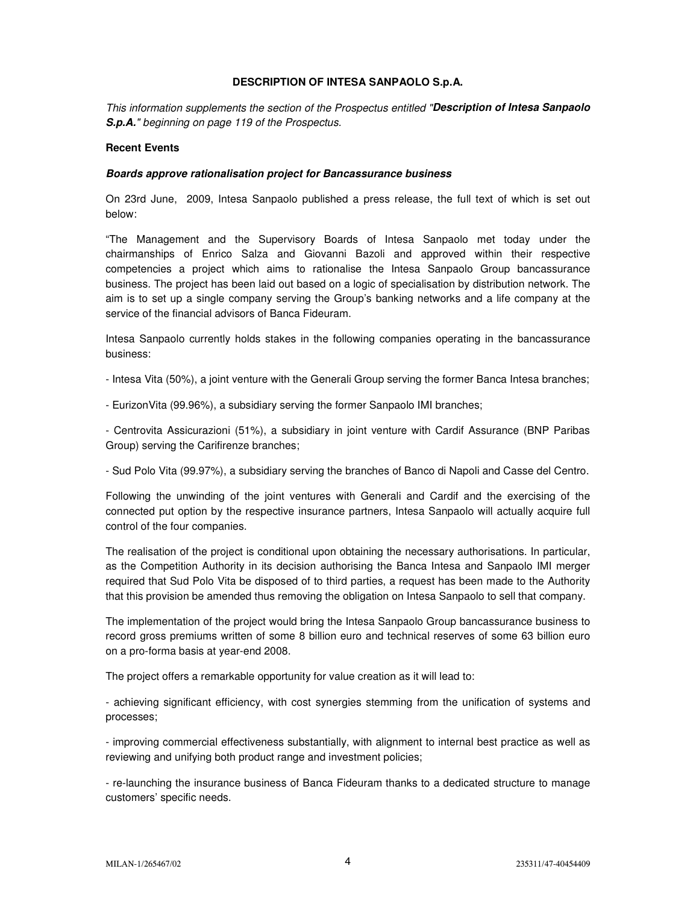#### **DESCRIPTION OF INTESA SANPAOLO S.p.A.**

*This information supplements the section of the Prospectus entitled "Description of Intesa Sanpaolo S.p.A." beginning on page 119 of the Prospectus.*

#### **Recent Events**

#### *Boards approve rationalisation project for Bancassurance business*

On 23rd June, 2009, Intesa Sanpaolo published a press release, the full text of which is set out below:

"The Management and the Supervisory Boards of Intesa Sanpaolo met today under the chairmanships of Enrico Salza and Giovanni Bazoli and approved within their respective competencies a project which aims to rationalise the Intesa Sanpaolo Group bancassurance business. The project has been laid out based on a logic of specialisation by distribution network. The aim is to set up a single company serving the Group's banking networks and a life company at the service of the financial advisors of Banca Fideuram.

Intesa Sanpaolo currently holds stakes in the following companies operating in the bancassurance business:

- Intesa Vita (50%), a joint venture with the Generali Group serving the former Banca Intesa branches;

- EurizonVita (99.96%), a subsidiary serving the former Sanpaolo IMI branches;

- Centrovita Assicurazioni (51%), a subsidiary in joint venture with Cardif Assurance (BNP Paribas Group) serving the Carifirenze branches;

- Sud Polo Vita (99.97%), a subsidiary serving the branches of Banco di Napoli and Casse del Centro.

Following the unwinding of the joint ventures with Generali and Cardif and the exercising of the connected put option by the respective insurance partners, Intesa Sanpaolo will actually acquire full control of the four companies.

The realisation of the project is conditional upon obtaining the necessary authorisations. In particular, as the Competition Authority in its decision authorising the Banca Intesa and Sanpaolo IMI merger required that Sud Polo Vita be disposed of to third parties, a request has been made to the Authority that this provision be amended thus removing the obligation on Intesa Sanpaolo to sell that company.

The implementation of the project would bring the Intesa Sanpaolo Group bancassurance business to record gross premiums written of some 8 billion euro and technical reserves of some 63 billion euro on a pro-forma basis at year-end 2008.

The project offers a remarkable opportunity for value creation as it will lead to:

- achieving significant efficiency, with cost synergies stemming from the unification of systems and processes;

- improving commercial effectiveness substantially, with alignment to internal best practice as well as reviewing and unifying both product range and investment policies;

- re-launching the insurance business of Banca Fideuram thanks to a dedicated structure to manage customers' specific needs.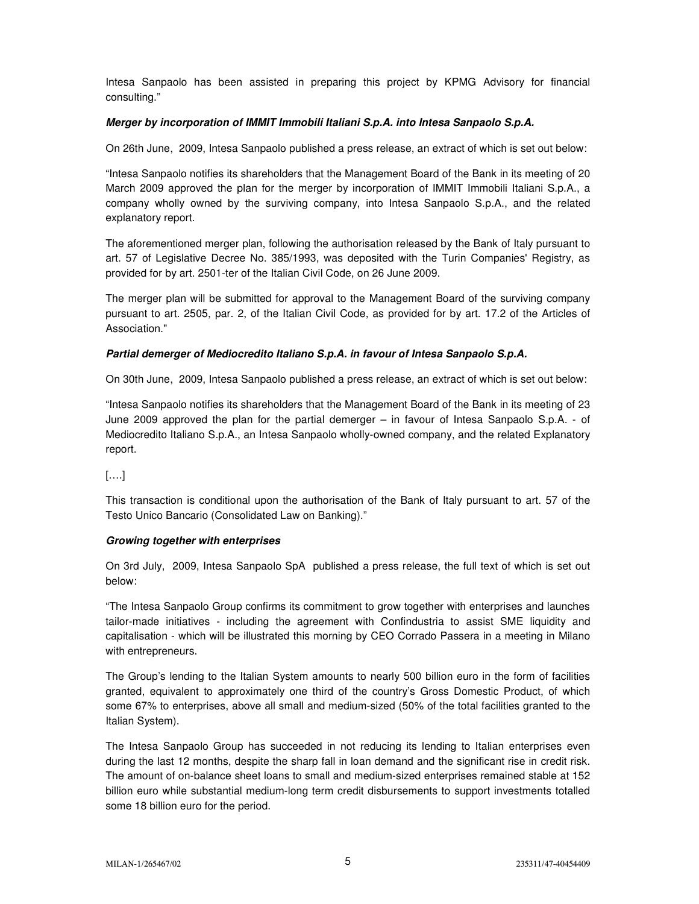Intesa Sanpaolo has been assisted in preparing this project by KPMG Advisory for financial consulting."

## *Merger by incorporation of IMMIT Immobili Italiani S.p.A. into Intesa Sanpaolo S.p.A.*

On 26th June, 2009, Intesa Sanpaolo published a press release, an extract of which is set out below:

"Intesa Sanpaolo notifies its shareholders that the Management Board of the Bank in its meeting of 20 March 2009 approved the plan for the merger by incorporation of IMMIT Immobili Italiani S.p.A., a company wholly owned by the surviving company, into Intesa Sanpaolo S.p.A., and the related explanatory report.

The aforementioned merger plan, following the authorisation released by the Bank of Italy pursuant to art. 57 of Legislative Decree No. 385/1993, was deposited with the Turin Companies' Registry, as provided for by art. 2501-ter of the Italian Civil Code, on 26 June 2009.

The merger plan will be submitted for approval to the Management Board of the surviving company pursuant to art. 2505, par. 2, of the Italian Civil Code, as provided for by art. 17.2 of the Articles of Association."

#### *Partial demerger of Mediocredito Italiano S.p.A. in favour of Intesa Sanpaolo S.p.A.*

On 30th June, 2009, Intesa Sanpaolo published a press release, an extract of which is set out below:

"Intesa Sanpaolo notifies its shareholders that the Management Board of the Bank in its meeting of 23 June 2009 approved the plan for the partial demerger – in favour of Intesa Sanpaolo S.p.A. - of Mediocredito Italiano S.p.A., an Intesa Sanpaolo wholly-owned company, and the related Explanatory report.

[….]

This transaction is conditional upon the authorisation of the Bank of Italy pursuant to art. 57 of the Testo Unico Bancario (Consolidated Law on Banking)."

#### *Growing together with enterprises*

On 3rd July, 2009, Intesa Sanpaolo SpA published a press release, the full text of which is set out below:

"The Intesa Sanpaolo Group confirms its commitment to grow together with enterprises and launches tailor-made initiatives - including the agreement with Confindustria to assist SME liquidity and capitalisation - which will be illustrated this morning by CEO Corrado Passera in a meeting in Milano with entrepreneurs.

The Group's lending to the Italian System amounts to nearly 500 billion euro in the form of facilities granted, equivalent to approximately one third of the country's Gross Domestic Product, of which some 67% to enterprises, above all small and medium-sized (50% of the total facilities granted to the Italian System).

The Intesa Sanpaolo Group has succeeded in not reducing its lending to Italian enterprises even during the last 12 months, despite the sharp fall in loan demand and the significant rise in credit risk. The amount of on-balance sheet loans to small and medium-sized enterprises remained stable at 152 billion euro while substantial medium-long term credit disbursements to support investments totalled some 18 billion euro for the period.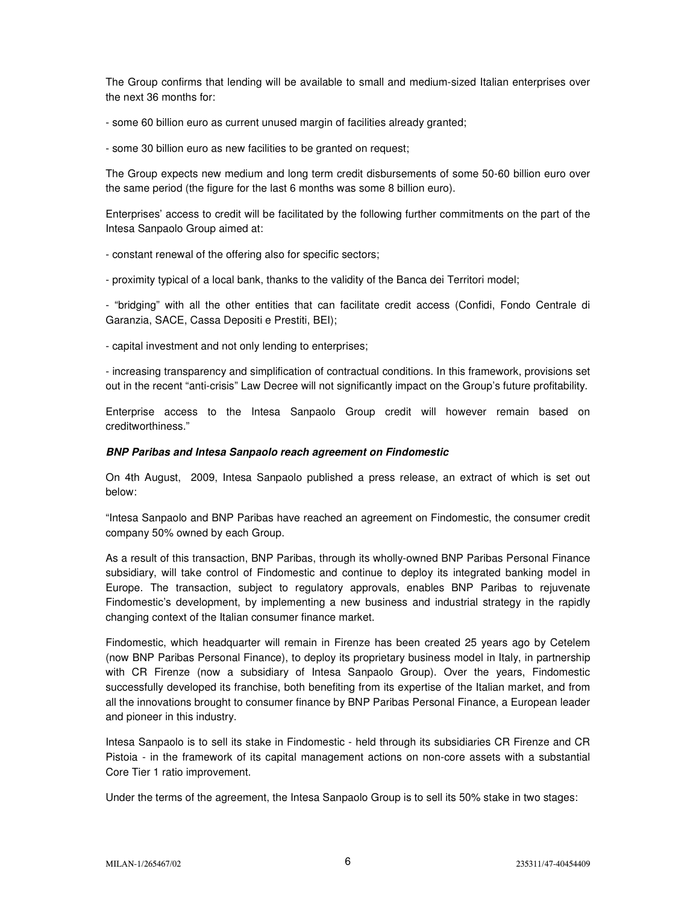The Group confirms that lending will be available to small and medium-sized Italian enterprises over the next 36 months for:

- some 60 billion euro as current unused margin of facilities already granted;

- some 30 billion euro as new facilities to be granted on request;

The Group expects new medium and long term credit disbursements of some 50-60 billion euro over the same period (the figure for the last 6 months was some 8 billion euro).

Enterprises' access to credit will be facilitated by the following further commitments on the part of the Intesa Sanpaolo Group aimed at:

- constant renewal of the offering also for specific sectors;

- proximity typical of a local bank, thanks to the validity of the Banca dei Territori model;

- "bridging" with all the other entities that can facilitate credit access (Confidi, Fondo Centrale di Garanzia, SACE, Cassa Depositi e Prestiti, BEI);

- capital investment and not only lending to enterprises;

- increasing transparency and simplification of contractual conditions. In this framework, provisions set out in the recent "anti-crisis" Law Decree will not significantly impact on the Group's future profitability.

Enterprise access to the Intesa Sanpaolo Group credit will however remain based on creditworthiness."

#### *BNP Paribas and Intesa Sanpaolo reach agreement on Findomestic*

On 4th August, 2009, Intesa Sanpaolo published a press release, an extract of which is set out below:

"Intesa Sanpaolo and BNP Paribas have reached an agreement on Findomestic, the consumer credit company 50% owned by each Group.

As a result of this transaction, BNP Paribas, through its wholly-owned BNP Paribas Personal Finance subsidiary, will take control of Findomestic and continue to deploy its integrated banking model in Europe. The transaction, subject to regulatory approvals, enables BNP Paribas to rejuvenate Findomestic's development, by implementing a new business and industrial strategy in the rapidly changing context of the Italian consumer finance market.

Findomestic, which headquarter will remain in Firenze has been created 25 years ago by Cetelem (now BNP Paribas Personal Finance), to deploy its proprietary business model in Italy, in partnership with CR Firenze (now a subsidiary of Intesa Sanpaolo Group). Over the years, Findomestic successfully developed its franchise, both benefiting from its expertise of the Italian market, and from all the innovations brought to consumer finance by BNP Paribas Personal Finance, a European leader and pioneer in this industry.

Intesa Sanpaolo is to sell its stake in Findomestic - held through its subsidiaries CR Firenze and CR Pistoia - in the framework of its capital management actions on non-core assets with a substantial Core Tier 1 ratio improvement.

Under the terms of the agreement, the Intesa Sanpaolo Group is to sell its 50% stake in two stages: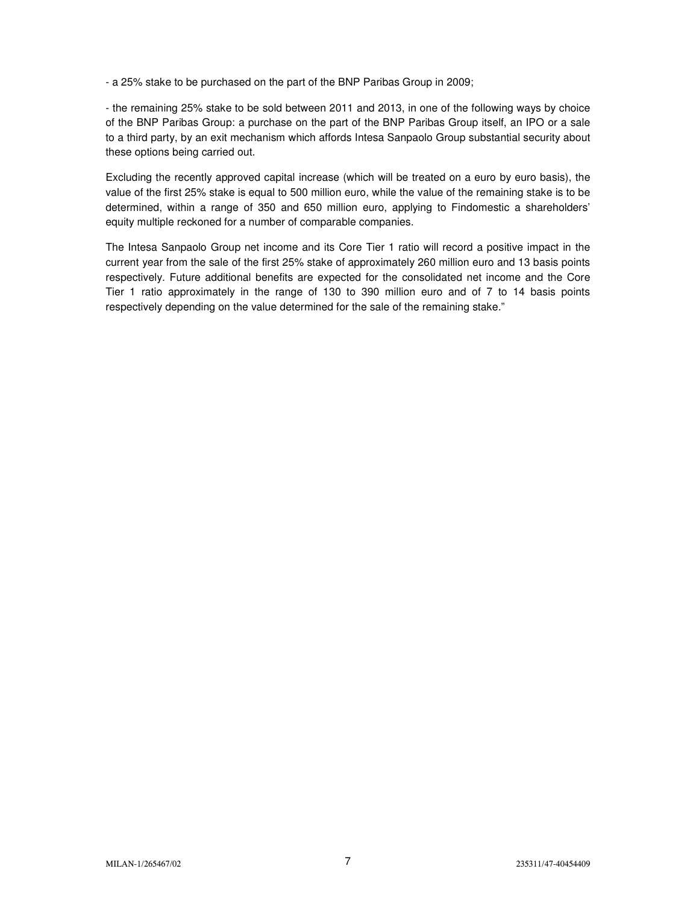- a 25% stake to be purchased on the part of the BNP Paribas Group in 2009;

- the remaining 25% stake to be sold between 2011 and 2013, in one of the following ways by choice of the BNP Paribas Group: a purchase on the part of the BNP Paribas Group itself, an IPO or a sale to a third party, by an exit mechanism which affords Intesa Sanpaolo Group substantial security about these options being carried out.

Excluding the recently approved capital increase (which will be treated on a euro by euro basis), the value of the first 25% stake is equal to 500 million euro, while the value of the remaining stake is to be determined, within a range of 350 and 650 million euro, applying to Findomestic a shareholders' equity multiple reckoned for a number of comparable companies.

The Intesa Sanpaolo Group net income and its Core Tier 1 ratio will record a positive impact in the current year from the sale of the first 25% stake of approximately 260 million euro and 13 basis points respectively. Future additional benefits are expected for the consolidated net income and the Core Tier 1 ratio approximately in the range of 130 to 390 million euro and of 7 to 14 basis points respectively depending on the value determined for the sale of the remaining stake."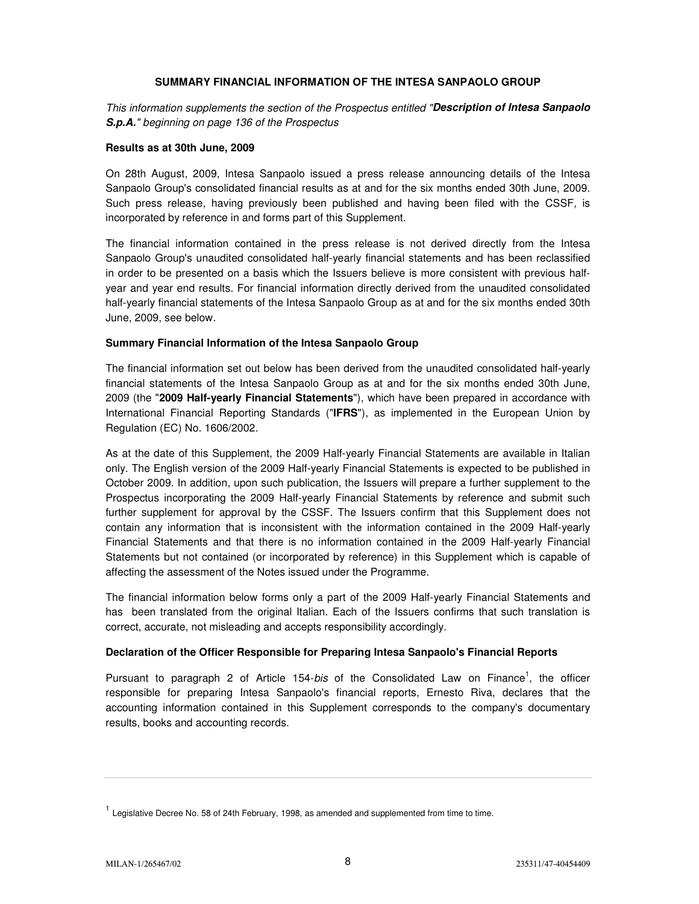## **SUMMARY FINANCIAL INFORMATION OF THE INTESA SANPAOLO GROUP**

*This information supplements the section of the Prospectus entitled "Description of Intesa Sanpaolo S.p.A." beginning on page 136 of the Prospectus*

#### **Results as at 30th June, 2009**

On 28th August, 2009, Intesa Sanpaolo issued a press release announcing details of the Intesa Sanpaolo Group's consolidated financial results as at and for the six months ended 30th June, 2009. Such press release, having previously been published and having been filed with the CSSF, is incorporated by reference in and forms part of this Supplement.

The financial information contained in the press release is not derived directly from the Intesa Sanpaolo Group's unaudited consolidated half-yearly financial statements and has been reclassified in order to be presented on a basis which the Issuers believe is more consistent with previous halfyear and year end results. For financial information directly derived from the unaudited consolidated half-yearly financial statements of the Intesa Sanpaolo Group as at and for the six months ended 30th June, 2009, see below.

#### **Summary Financial Information of the Intesa Sanpaolo Group**

The financial information set out below has been derived from the unaudited consolidated half-yearly financial statements of the Intesa Sanpaolo Group as at and for the six months ended 30th June, 2009 (the "**2009 Half-yearly Financial Statements**"), which have been prepared in accordance with International Financial Reporting Standards ("**IFRS**"), as implemented in the European Union by Regulation (EC) No. 1606/2002.

As at the date of this Supplement, the 2009 Half-yearly Financial Statements are available in Italian only. The English version of the 2009 Half-yearly Financial Statements is expected to be published in October 2009. In addition, upon such publication, the Issuers will prepare a further supplement to the Prospectus incorporating the 2009 Half-yearly Financial Statements by reference and submit such further supplement for approval by the CSSF. The Issuers confirm that this Supplement does not contain any information that is inconsistent with the information contained in the 2009 Half-yearly Financial Statements and that there is no information contained in the 2009 Half-yearly Financial Statements but not contained (or incorporated by reference) in this Supplement which is capable of affecting the assessment of the Notes issued under the Programme.

The financial information below forms only a part of the 2009 Half-yearly Financial Statements and has been translated from the original Italian. Each of the Issuers confirms that such translation is correct, accurate, not misleading and accepts responsibility accordingly.

#### **Declaration of the Officer Responsible for Preparing Intesa Sanpaolo's Financial Reports**

Pursuant to paragraph 2 of Article 154-bis of the Consolidated Law on Finance<sup>1</sup>, the officer responsible for preparing Intesa Sanpaolo's financial reports, Ernesto Riva, declares that the accounting information contained in this Supplement corresponds to the company's documentary results, books and accounting records.

<sup>&</sup>lt;sup>1</sup> Legislative Decree No. 58 of 24th February, 1998, as amended and supplemented from time to time.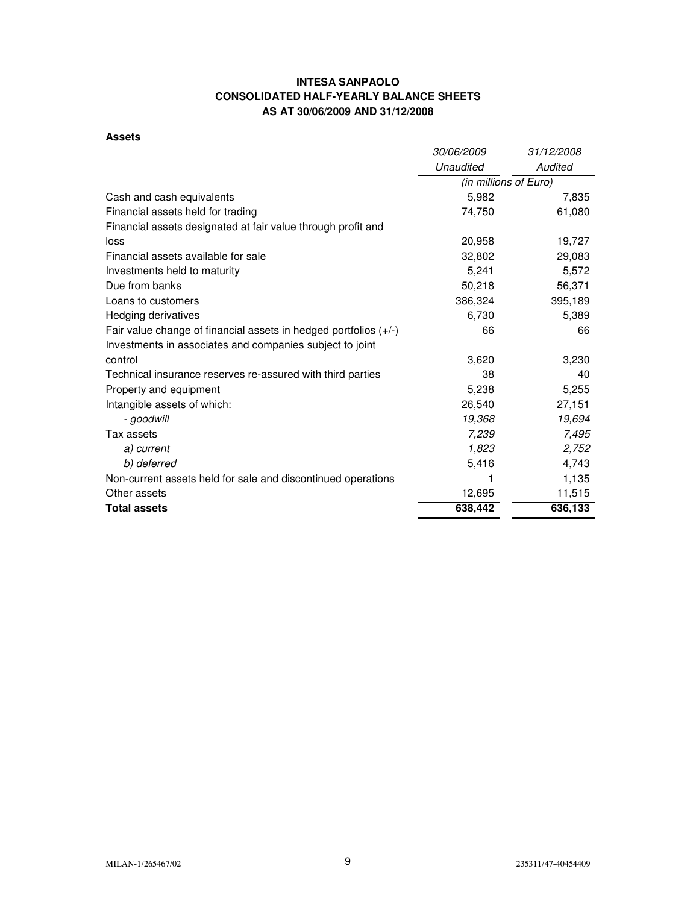# **INTESA SANPAOLO CONSOLIDATED HALF-YEARLY BALANCE SHEETS AS AT 30/06/2009 AND 31/12/2008**

## **Assets**

| Audited<br>Unaudited<br>(in millions of Euro)<br>5,982<br>Cash and cash equivalents<br>Financial assets held for trading<br>74,750<br>61,080<br>Financial assets designated at fair value through profit and<br>20,958<br>loss<br>32,802<br>Financial assets available for sale<br>29,083<br>5,241<br>Investments held to maturity<br>50,218<br>56,371<br>Due from banks<br>386,324<br>Loans to customers<br>6,730<br>Hedging derivatives<br>66<br>Fair value change of financial assets in hedged portfolios $(+/-)$<br>66<br>Investments in associates and companies subject to joint<br>control<br>3,620<br>3,230<br>38<br>40<br>Technical insurance reserves re-assured with third parties<br>5,238<br>Property and equipment<br>26,540<br>27,151<br>Intangible assets of which:<br>19,368<br>- goodwill<br>Tax assets<br>7,239<br>1,823<br>a) current<br>b) deferred<br>5,416<br>Non-current assets held for sale and discontinued operations<br>12,695<br>Other assets<br><b>Total assets</b><br>638,442 | 30/06/2009 | 31/12/2008 |
|----------------------------------------------------------------------------------------------------------------------------------------------------------------------------------------------------------------------------------------------------------------------------------------------------------------------------------------------------------------------------------------------------------------------------------------------------------------------------------------------------------------------------------------------------------------------------------------------------------------------------------------------------------------------------------------------------------------------------------------------------------------------------------------------------------------------------------------------------------------------------------------------------------------------------------------------------------------------------------------------------------------|------------|------------|
|                                                                                                                                                                                                                                                                                                                                                                                                                                                                                                                                                                                                                                                                                                                                                                                                                                                                                                                                                                                                                |            |            |
|                                                                                                                                                                                                                                                                                                                                                                                                                                                                                                                                                                                                                                                                                                                                                                                                                                                                                                                                                                                                                |            |            |
|                                                                                                                                                                                                                                                                                                                                                                                                                                                                                                                                                                                                                                                                                                                                                                                                                                                                                                                                                                                                                |            | 7,835      |
|                                                                                                                                                                                                                                                                                                                                                                                                                                                                                                                                                                                                                                                                                                                                                                                                                                                                                                                                                                                                                |            |            |
|                                                                                                                                                                                                                                                                                                                                                                                                                                                                                                                                                                                                                                                                                                                                                                                                                                                                                                                                                                                                                |            |            |
|                                                                                                                                                                                                                                                                                                                                                                                                                                                                                                                                                                                                                                                                                                                                                                                                                                                                                                                                                                                                                |            | 19,727     |
|                                                                                                                                                                                                                                                                                                                                                                                                                                                                                                                                                                                                                                                                                                                                                                                                                                                                                                                                                                                                                |            |            |
|                                                                                                                                                                                                                                                                                                                                                                                                                                                                                                                                                                                                                                                                                                                                                                                                                                                                                                                                                                                                                |            | 5,572      |
|                                                                                                                                                                                                                                                                                                                                                                                                                                                                                                                                                                                                                                                                                                                                                                                                                                                                                                                                                                                                                |            |            |
|                                                                                                                                                                                                                                                                                                                                                                                                                                                                                                                                                                                                                                                                                                                                                                                                                                                                                                                                                                                                                |            | 395,189    |
|                                                                                                                                                                                                                                                                                                                                                                                                                                                                                                                                                                                                                                                                                                                                                                                                                                                                                                                                                                                                                |            | 5,389      |
|                                                                                                                                                                                                                                                                                                                                                                                                                                                                                                                                                                                                                                                                                                                                                                                                                                                                                                                                                                                                                |            |            |
|                                                                                                                                                                                                                                                                                                                                                                                                                                                                                                                                                                                                                                                                                                                                                                                                                                                                                                                                                                                                                |            |            |
|                                                                                                                                                                                                                                                                                                                                                                                                                                                                                                                                                                                                                                                                                                                                                                                                                                                                                                                                                                                                                |            |            |
|                                                                                                                                                                                                                                                                                                                                                                                                                                                                                                                                                                                                                                                                                                                                                                                                                                                                                                                                                                                                                |            |            |
|                                                                                                                                                                                                                                                                                                                                                                                                                                                                                                                                                                                                                                                                                                                                                                                                                                                                                                                                                                                                                |            | 5,255      |
|                                                                                                                                                                                                                                                                                                                                                                                                                                                                                                                                                                                                                                                                                                                                                                                                                                                                                                                                                                                                                |            |            |
|                                                                                                                                                                                                                                                                                                                                                                                                                                                                                                                                                                                                                                                                                                                                                                                                                                                                                                                                                                                                                |            | 19,694     |
|                                                                                                                                                                                                                                                                                                                                                                                                                                                                                                                                                                                                                                                                                                                                                                                                                                                                                                                                                                                                                |            | 7,495      |
|                                                                                                                                                                                                                                                                                                                                                                                                                                                                                                                                                                                                                                                                                                                                                                                                                                                                                                                                                                                                                |            | 2,752      |
|                                                                                                                                                                                                                                                                                                                                                                                                                                                                                                                                                                                                                                                                                                                                                                                                                                                                                                                                                                                                                |            | 4,743      |
|                                                                                                                                                                                                                                                                                                                                                                                                                                                                                                                                                                                                                                                                                                                                                                                                                                                                                                                                                                                                                |            | 1,135      |
|                                                                                                                                                                                                                                                                                                                                                                                                                                                                                                                                                                                                                                                                                                                                                                                                                                                                                                                                                                                                                |            | 11,515     |
|                                                                                                                                                                                                                                                                                                                                                                                                                                                                                                                                                                                                                                                                                                                                                                                                                                                                                                                                                                                                                |            | 636,133    |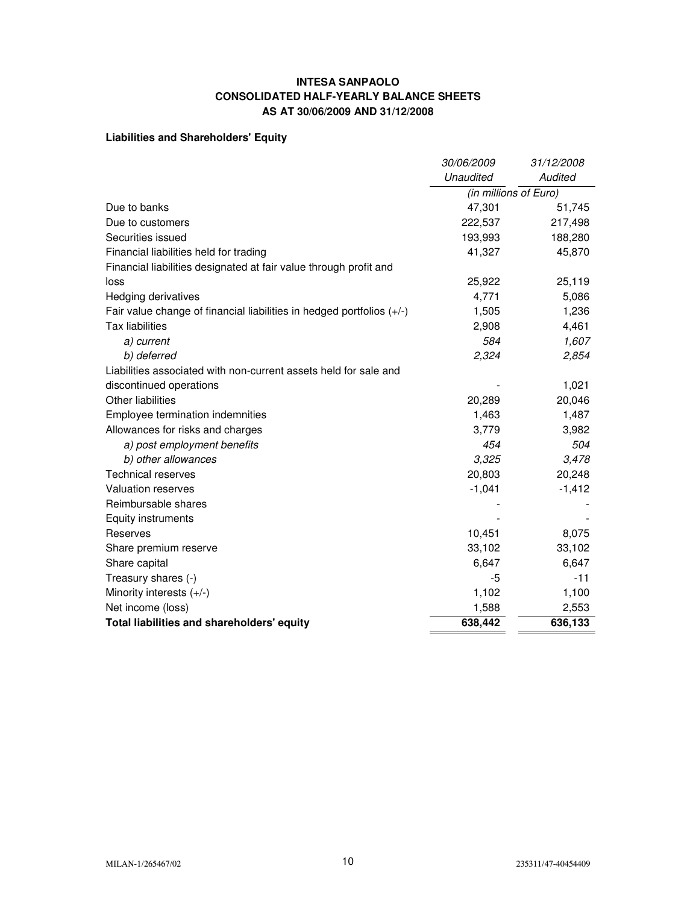# **INTESA SANPAOLO CONSOLIDATED HALF-YEARLY BALANCE SHEETS AS AT 30/06/2009 AND 31/12/2008**

# **Liabilities and Shareholders' Equity**

|                                                                       | 30/06/2009 | 31/12/2008            |  |
|-----------------------------------------------------------------------|------------|-----------------------|--|
|                                                                       | Unaudited  | <b>Audited</b>        |  |
|                                                                       |            | (in millions of Euro) |  |
| Due to banks                                                          | 47,301     | 51,745                |  |
| Due to customers                                                      | 222,537    | 217,498               |  |
| Securities issued                                                     | 193,993    | 188,280               |  |
| Financial liabilities held for trading                                | 41,327     | 45,870                |  |
| Financial liabilities designated at fair value through profit and     |            |                       |  |
| loss                                                                  | 25,922     | 25,119                |  |
| Hedging derivatives                                                   | 4,771      | 5,086                 |  |
| Fair value change of financial liabilities in hedged portfolios (+/-) | 1,505      | 1,236                 |  |
| <b>Tax liabilities</b>                                                | 2,908      | 4,461                 |  |
| a) current                                                            | 584        | 1,607                 |  |
| b) deferred                                                           | 2,324      | 2,854                 |  |
| Liabilities associated with non-current assets held for sale and      |            |                       |  |
| discontinued operations                                               |            | 1,021                 |  |
| Other liabilities                                                     | 20,289     | 20,046                |  |
| Employee termination indemnities                                      | 1,463      | 1,487                 |  |
| Allowances for risks and charges                                      | 3,779      | 3,982                 |  |
| a) post employment benefits                                           | 454        | 504                   |  |
| b) other allowances                                                   | 3,325      | 3,478                 |  |
| <b>Technical reserves</b>                                             | 20,803     | 20,248                |  |
| <b>Valuation reserves</b>                                             | $-1,041$   | $-1,412$              |  |
| Reimbursable shares                                                   |            |                       |  |
| Equity instruments                                                    |            |                       |  |
| Reserves                                                              | 10,451     | 8,075                 |  |
| Share premium reserve                                                 | 33,102     | 33,102                |  |
| Share capital                                                         | 6,647      | 6,647                 |  |
| Treasury shares (-)                                                   | -5         | $-11$                 |  |
| Minority interests (+/-)                                              | 1,102      | 1,100                 |  |
| Net income (loss)                                                     | 1,588      | 2,553                 |  |
| Total liabilities and shareholders' equity                            | 638,442    | 636,133               |  |